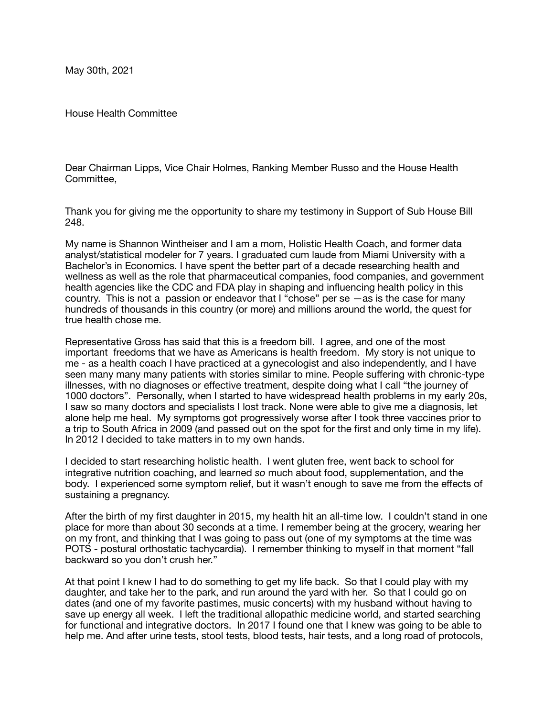May 30th, 2021

House Health Committee

Dear Chairman Lipps, Vice Chair Holmes, Ranking Member Russo and the House Health Committee,

Thank you for giving me the opportunity to share my testimony in Support of Sub House Bill 248.

My name is Shannon Wintheiser and I am a mom, Holistic Health Coach, and former data analyst/statistical modeler for 7 years. I graduated cum laude from Miami University with a Bachelor's in Economics. I have spent the better part of a decade researching health and wellness as well as the role that pharmaceutical companies, food companies, and government health agencies like the CDC and FDA play in shaping and influencing health policy in this country. This is not a passion or endeavor that I "chose" per se —as is the case for many hundreds of thousands in this country (or more) and millions around the world, the quest for true health chose me.

Representative Gross has said that this is a freedom bill. I agree, and one of the most important freedoms that we have as Americans is health freedom. My story is not unique to me - as a health coach I have practiced at a gynecologist and also independently, and I have seen many many many patients with stories similar to mine. People suffering with chronic-type illnesses, with no diagnoses or effective treatment, despite doing what I call "the journey of 1000 doctors". Personally, when I started to have widespread health problems in my early 20s, I saw so many doctors and specialists I lost track. None were able to give me a diagnosis, let alone help me heal. My symptoms got progressively worse after I took three vaccines prior to a trip to South Africa in 2009 (and passed out on the spot for the first and only time in my life). In 2012 I decided to take matters in to my own hands.

I decided to start researching holistic health. I went gluten free, went back to school for integrative nutrition coaching, and learned *so* much about food, supplementation, and the body. I experienced some symptom relief, but it wasn't enough to save me from the effects of sustaining a pregnancy.

After the birth of my first daughter in 2015, my health hit an all-time low. I couldn't stand in one place for more than about 30 seconds at a time. I remember being at the grocery, wearing her on my front, and thinking that I was going to pass out (one of my symptoms at the time was POTS - postural orthostatic tachycardia). I remember thinking to myself in that moment "fall backward so you don't crush her."

At that point I knew I had to do something to get my life back. So that I could play with my daughter, and take her to the park, and run around the yard with her. So that I could go on dates (and one of my favorite pastimes, music concerts) with my husband without having to save up energy all week. I left the traditional allopathic medicine world, and started searching for functional and integrative doctors. In 2017 I found one that I knew was going to be able to help me. And after urine tests, stool tests, blood tests, hair tests, and a long road of protocols,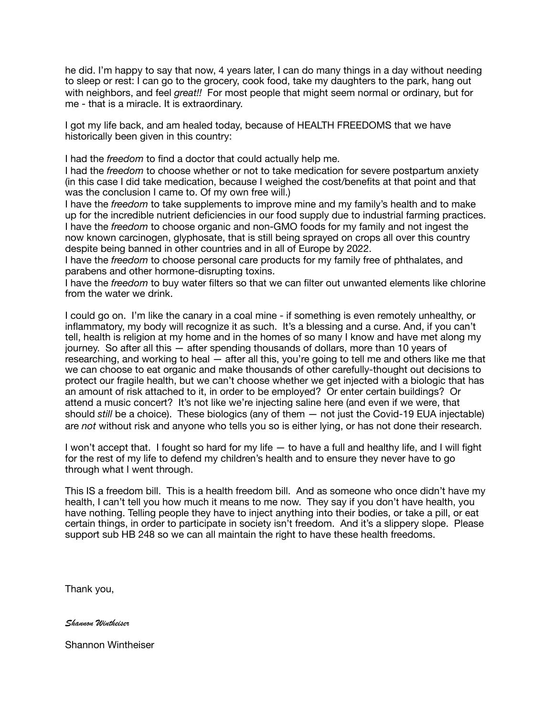he did. I'm happy to say that now, 4 years later, I can do many things in a day without needing to sleep or rest: I can go to the grocery, cook food, take my daughters to the park, hang out with neighbors, and feel *great!!* For most people that might seem normal or ordinary, but for me - that is a miracle. It is extraordinary.

I got my life back, and am healed today, because of HEALTH FREEDOMS that we have historically been given in this country:

I had the *freedom* to find a doctor that could actually help me.

I had the *freedom* to choose whether or not to take medication for severe postpartum anxiety (in this case I did take medication, because I weighed the cost/benefits at that point and that was the conclusion I came to. Of my own free will.)

I have the *freedom* to take supplements to improve mine and my family's health and to make up for the incredible nutrient deficiencies in our food supply due to industrial farming practices. I have the *freedom* to choose organic and non-GMO foods for my family and not ingest the now known carcinogen, glyphosate, that is still being sprayed on crops all over this country despite being banned in other countries and in all of Europe by 2022.

I have the *freedom* to choose personal care products for my family free of phthalates, and parabens and other hormone-disrupting toxins.

I have the *freedom* to buy water filters so that we can filter out unwanted elements like chlorine from the water we drink.

I could go on. I'm like the canary in a coal mine - if something is even remotely unhealthy, or inflammatory, my body will recognize it as such. It's a blessing and a curse. And, if you can't tell, health is religion at my home and in the homes of so many I know and have met along my journey. So after all this — after spending thousands of dollars, more than 10 years of researching, and working to heal — after all this, you're going to tell me and others like me that we can choose to eat organic and make thousands of other carefully-thought out decisions to protect our fragile health, but we can't choose whether we get injected with a biologic that has an amount of risk attached to it, in order to be employed? Or enter certain buildings? Or attend a music concert? It's not like we're injecting saline here (and even if we were, that should *still* be a choice). These biologics (any of them — not just the Covid-19 EUA injectable) are *not* without risk and anyone who tells you so is either lying, or has not done their research.

I won't accept that. I fought so hard for my life — to have a full and healthy life, and I will fight for the rest of my life to defend my children's health and to ensure they never have to go through what I went through.

This IS a freedom bill. This is a health freedom bill. And as someone who once didn't have my health, I can't tell you how much it means to me now. They say if you don't have health, you have nothing. Telling people they have to inject anything into their bodies, or take a pill, or eat certain things, in order to participate in society isn't freedom. And it's a slippery slope. Please support sub HB 248 so we can all maintain the right to have these health freedoms.

Thank you,

*Shannon Wintheiser*

Shannon Wintheiser